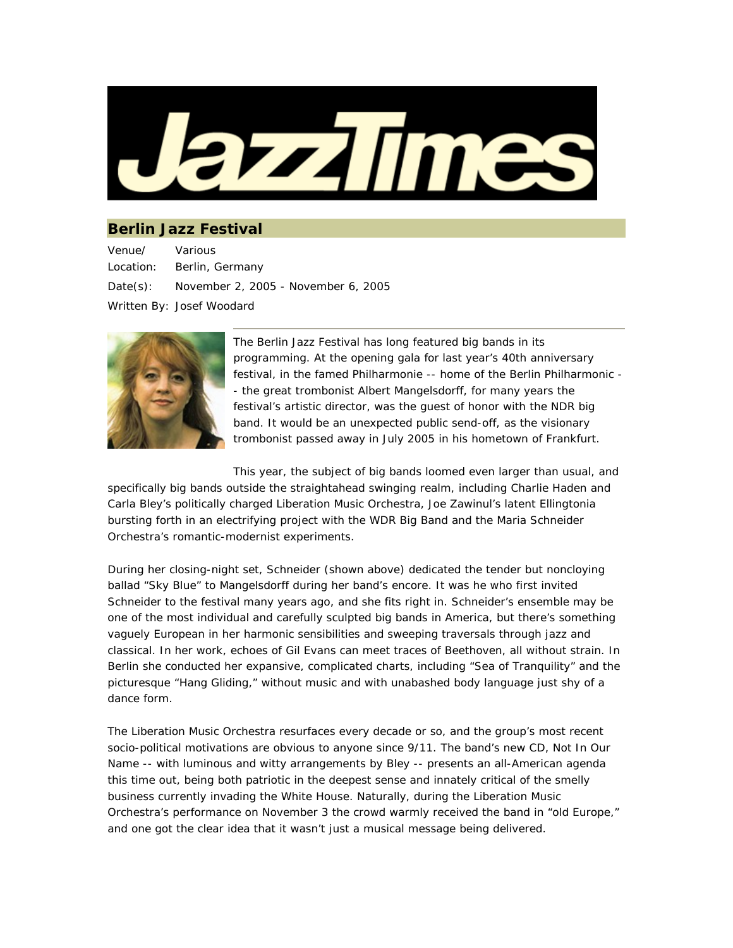

## **Berlin Jazz Festival**

Venue/ Location: Various Berlin, Germany Date(s): November 2, 2005 - November 6, 2005 Written By: Josef Woodard



The Berlin Jazz Festival has long featured big bands in its programming. At the opening gala for last year's 40th anniversary festival, in the famed Philharmonie -- home of the Berlin Philharmonic - - the great trombonist Albert Mangelsdorff, for many years the festival's artistic director, was the guest of honor with the NDR big band. It would be an unexpected public send-off, as the visionary trombonist passed away in July 2005 in his hometown of Frankfurt.

This year, the subject of big bands loomed even larger than usual, and

specifically big bands outside the straightahead swinging realm, including Charlie Haden and Carla Bley's politically charged Liberation Music Orchestra, Joe Zawinul's latent Ellingtonia bursting forth in an electrifying project with the WDR Big Band and the Maria Schneider Orchestra's romantic-modernist experiments.

During her closing-night set, Schneider (shown above) dedicated the tender but noncloying ballad "Sky Blue" to Mangelsdorff during her band's encore. It was he who first invited Schneider to the festival many years ago, and she fits right in. Schneider's ensemble may be one of the most individual and carefully sculpted big bands in America, but there's something vaguely European in her harmonic sensibilities and sweeping traversals through jazz and classical. In her work, echoes of Gil Evans can meet traces of Beethoven, all without strain. In Berlin she conducted her expansive, complicated charts, including "Sea of Tranquility" and the picturesque "Hang Gliding," without music and with unabashed body language just shy of a dance form.

The Liberation Music Orchestra resurfaces every decade or so, and the group's most recent socio-political motivations are obvious to anyone since 9/11. The band's new CD, *Not In Our Name* -- with luminous and witty arrangements by Bley -- presents an all-American agenda this time out, being both patriotic in the deepest sense and innately critical of the smelly business currently invading the White House. Naturally, during the Liberation Music Orchestra's performance on November 3 the crowd warmly received the band in "old Europe," and one got the clear idea that it wasn't just a musical message being delivered.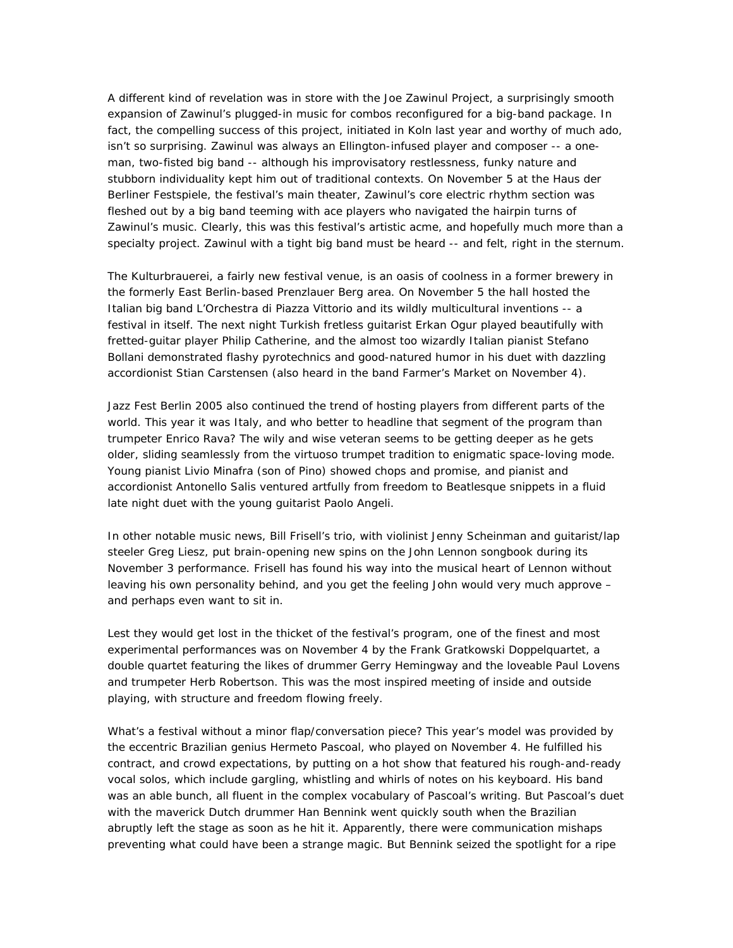A different kind of revelation was in store with the Joe Zawinul Project, a surprisingly smooth expansion of Zawinul's plugged-in music for combos reconfigured for a big-band package. In fact, the compelling success of this project, initiated in Koln last year and worthy of much ado, isn't so surprising. Zawinul was always an Ellington-infused player and composer -- a oneman, two-fisted big band -- although his improvisatory restlessness, funky nature and stubborn individuality kept him out of traditional contexts. On November 5 at the Haus der Berliner Festspiele, the festival's main theater, Zawinul's core electric rhythm section was fleshed out by a big band teeming with ace players who navigated the hairpin turns of Zawinul's music. Clearly, this was this festival's artistic acme, and hopefully much more than a specialty project. Zawinul with a tight big band must be heard -- and felt, right in the sternum.

The Kulturbrauerei, a fairly new festival venue, is an oasis of coolness in a former brewery in the formerly East Berlin-based Prenzlauer Berg area. On November 5 the hall hosted the Italian big band L'Orchestra di Piazza Vittorio and its wildly multicultural inventions -- a festival in itself. The next night Turkish fretless guitarist Erkan Ogur played beautifully with fretted-guitar player Philip Catherine, and the almost too wizardly Italian pianist Stefano Bollani demonstrated flashy pyrotechnics and good-natured humor in his duet with dazzling accordionist Stian Carstensen (also heard in the band Farmer's Market on November 4).

Jazz Fest Berlin 2005 also continued the trend of hosting players from different parts of the world. This year it was Italy, and who better to headline that segment of the program than trumpeter Enrico Rava? The wily and wise veteran seems to be getting deeper as he gets older, sliding seamlessly from the virtuoso trumpet tradition to enigmatic space-loving mode. Young pianist Livio Minafra (son of Pino) showed chops and promise, and pianist and accordionist Antonello Salis ventured artfully from freedom to Beatlesque snippets in a fluid late night duet with the young guitarist Paolo Angeli.

In other notable music news, Bill Frisell's trio, with violinist Jenny Scheinman and guitarist/lap steeler Greg Liesz, put brain-opening new spins on the John Lennon songbook during its November 3 performance. Frisell has found his way into the musical heart of Lennon without leaving his own personality behind, and you get the feeling John would very much approve – and perhaps even want to sit in.

Lest they would get lost in the thicket of the festival's program, one of the finest and most experimental performances was on November 4 by the Frank Gratkowski Doppelquartet, a double quartet featuring the likes of drummer Gerry Hemingway and the loveable Paul Lovens and trumpeter Herb Robertson. This was the most inspired meeting of inside and outside playing, with structure and freedom flowing freely.

What's a festival without a minor flap/conversation piece? This year's model was provided by the eccentric Brazilian genius Hermeto Pascoal, who played on November 4. He fulfilled his contract, and crowd expectations, by putting on a hot show that featured his rough-and-ready vocal solos, which include gargling, whistling and whirls of notes on his keyboard. His band was an able bunch, all fluent in the complex vocabulary of Pascoal's writing. But Pascoal's duet with the maverick Dutch drummer Han Bennink went quickly south when the Brazilian abruptly left the stage as soon as he hit it. Apparently, there were communication mishaps preventing what could have been a strange magic. But Bennink seized the spotlight for a ripe